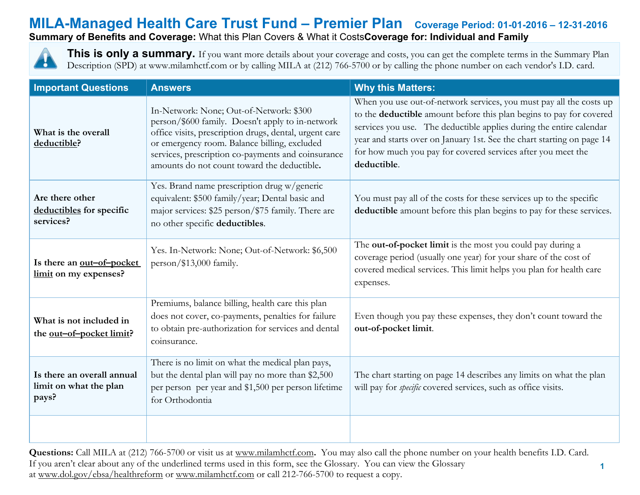**Summary of Benefits and Coverage:** What this Plan Covers & What it Costs**Coverage for: Individual and Family**



**This is only a summary.** If you want more details about your coverage and costs, you can get the complete terms in the Summary Plan Description (SPD) at www.milamhctf.com or by calling MILA at (212) 766-5700 or by calling the phone number on each vendor's I.D. card.

| <b>Important Questions</b>                                    | <b>Answers</b>                                                                                                                                                                                                                                                                                             | <b>Why this Matters:</b>                                                                                                                                                                                                                                                                                                                                                   |
|---------------------------------------------------------------|------------------------------------------------------------------------------------------------------------------------------------------------------------------------------------------------------------------------------------------------------------------------------------------------------------|----------------------------------------------------------------------------------------------------------------------------------------------------------------------------------------------------------------------------------------------------------------------------------------------------------------------------------------------------------------------------|
| What is the overall<br>deductible?                            | In-Network: None; Out-of-Network: \$300<br>person/\$600 family. Doesn't apply to in-network<br>office visits, prescription drugs, dental, urgent care<br>or emergency room. Balance billing, excluded<br>services, prescription co-payments and coinsurance<br>amounts do not count toward the deductible. | When you use out-of-network services, you must pay all the costs up<br>to the deductible amount before this plan begins to pay for covered<br>services you use. The deductible applies during the entire calendar<br>year and starts over on January 1st. See the chart starting on page 14<br>for how much you pay for covered services after you meet the<br>deductible. |
| Are there other<br>deductibles for specific<br>services?      | Yes. Brand name prescription drug w/generic<br>equivalent: \$500 family/year; Dental basic and<br>major services: \$25 person/\$75 family. There are<br>no other specific deductibles.                                                                                                                     | You must pay all of the costs for these services up to the specific<br>deductible amount before this plan begins to pay for these services.                                                                                                                                                                                                                                |
| Is there an out-of-pocket<br>limit on my expenses?            | Yes. In-Network: None; Out-of-Network: \$6,500<br>person/\$13,000 family.                                                                                                                                                                                                                                  | The out-of-pocket limit is the most you could pay during a<br>coverage period (usually one year) for your share of the cost of<br>covered medical services. This limit helps you plan for health care<br>expenses.                                                                                                                                                         |
| What is not included in<br>the <u>out-of-pocket limit</u> ?   | Premiums, balance billing, health care this plan<br>does not cover, co-payments, penalties for failure<br>to obtain pre-authorization for services and dental<br>coinsurance.                                                                                                                              | Even though you pay these expenses, they don't count toward the<br>out-of-pocket limit.                                                                                                                                                                                                                                                                                    |
| Is there an overall annual<br>limit on what the plan<br>pays? | There is no limit on what the medical plan pays,<br>but the dental plan will pay no more than \$2,500<br>per person per year and \$1,500 per person lifetime<br>for Orthodontia                                                                                                                            | The chart starting on page 14 describes any limits on what the plan<br>will pay for <i>specific</i> covered services, such as office visits.                                                                                                                                                                                                                               |
|                                                               |                                                                                                                                                                                                                                                                                                            |                                                                                                                                                                                                                                                                                                                                                                            |

**Questions:** Call MILA at (212) 766-5700 or visit us at [www.milamhctf.com](http://www.milamhctf.com/)**.** You may also call the phone number on your health benefits I.D. Card. If you aren't clear about any of the underlined terms used in this form, see the Glossary. You can view the Glossary at [www.dol.gov/ebsa/healthreform](http://www.dol.gov/ebsa/healthreform) or [www.milamhctf.com](http://www.milamhctf.com/) or call 212-766-5700 to request a copy.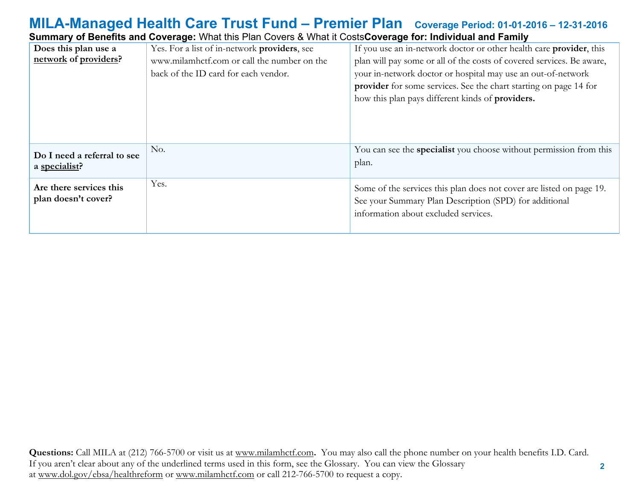### **MILA-Managed Health Care Trust Fund – Premier Plan Coverage Period: 01-01-2016 – 12-31-2016 Summary of Benefits and Coverage:** What this Plan Covers & What it Costs**Coverage for: Individual and Family**

|                             | Udiningiy vi Dononto and Oovorago. What this i fail Oovors & What it OostsOovorago for, murvidan and i anniy |                                                                       |
|-----------------------------|--------------------------------------------------------------------------------------------------------------|-----------------------------------------------------------------------|
| Does this plan use a        | Yes. For a list of in-network providers, see                                                                 | If you use an in-network doctor or other health care provider, this   |
| network of providers?       | www.milamhctf.com or call the number on the                                                                  | plan will pay some or all of the costs of covered services. Be aware, |
|                             | back of the ID card for each vendor.                                                                         | your in-network doctor or hospital may use an out-of-network          |
|                             |                                                                                                              | provider for some services. See the chart starting on page 14 for     |
|                             |                                                                                                              | how this plan pays different kinds of providers.                      |
|                             |                                                                                                              |                                                                       |
|                             |                                                                                                              |                                                                       |
|                             |                                                                                                              |                                                                       |
| Do I need a referral to see | No.                                                                                                          | You can see the specialist you choose without permission from this    |
| a specialist?               |                                                                                                              | plan.                                                                 |
|                             |                                                                                                              |                                                                       |
| Are there services this     | Yes.                                                                                                         | Some of the services this plan does not cover are listed on page 19.  |
| plan doesn't cover?         |                                                                                                              | See your Summary Plan Description (SPD) for additional                |
|                             |                                                                                                              | information about excluded services.                                  |
|                             |                                                                                                              |                                                                       |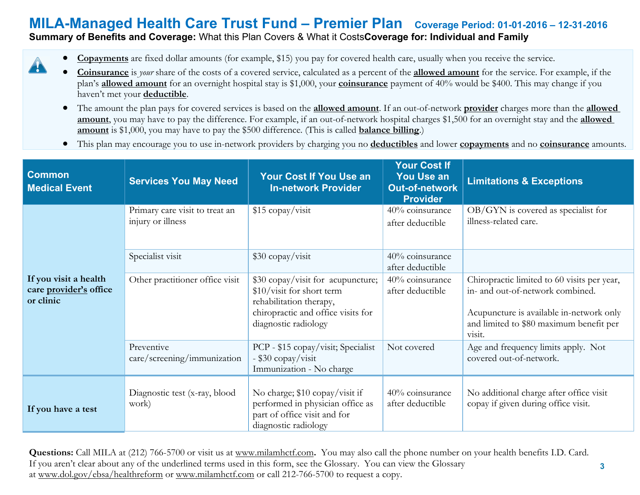### **Summary of Benefits and Coverage:** What this Plan Covers & What it Costs**Coverage for: Individual and Family**

4

- **Copayments** are fixed dollar amounts (for example, \$15) you pay for covered health care, usually when you receive the service.
- **Coinsurance** is *your* share of the costs of a covered service, calculated as a percent of the **allowed amount** for the service. For example, if the plan's **allowed amount** for an overnight hospital stay is \$1,000, your **coinsurance** payment of 40% would be \$400. This may change if you haven't met your **deductible**.
- The amount the plan pays for covered services is based on the **allowed amount**. If an out-of-network **provider** charges more than the **allowed amount**, you may have to pay the difference. For example, if an out-of-network hospital charges \$1,500 for an overnight stay and the **allowed amount** is \$1,000, you may have to pay the \$500 difference. (This is called **balance billing**.)
- This plan may encourage you to use in-network providers by charging you no **deductibles** and lower **copayments** and no **coinsurance** amounts.

| <b>Common</b><br><b>Medical Event</b>                        | <b>Services You May Need</b>                        | <b>Your Cost If You Use an</b><br><b>In-network Provider</b>                                                                                            | <b>Your Cost If</b><br><b>You Use an</b><br><b>Out-of-network</b><br><b>Provider</b> | <b>Limitations &amp; Exceptions</b>                                                                                                                                              |
|--------------------------------------------------------------|-----------------------------------------------------|---------------------------------------------------------------------------------------------------------------------------------------------------------|--------------------------------------------------------------------------------------|----------------------------------------------------------------------------------------------------------------------------------------------------------------------------------|
|                                                              | Primary care visit to treat an<br>injury or illness | \$15 copay/visit                                                                                                                                        | 40% coinsurance<br>after deductible                                                  | $OB/GYN$ is covered as specialist for<br>illness-related care.                                                                                                                   |
|                                                              | Specialist visit                                    | $$30$ copay/visit                                                                                                                                       | 40% coinsurance<br>after deductible                                                  |                                                                                                                                                                                  |
| If you visit a health<br>care provider's office<br>or clinic | Other practitioner office visit                     | \$30 copay/visit for acupuncture;<br>\$10/visit for short term<br>rehabilitation therapy,<br>chiropractic and office visits for<br>diagnostic radiology | 40% coinsurance<br>after deductible                                                  | Chiropractic limited to 60 visits per year,<br>in- and out-of-network combined.<br>Acupuncture is available in-network only<br>and limited to \$80 maximum benefit per<br>visit. |
|                                                              | Preventive<br>care/screening/immunization           | PCP - \$15 copay/visit; Specialist<br>- \$30 copay/visit<br>Immunization - No charge                                                                    | Not covered                                                                          | Age and frequency limits apply. Not<br>covered out-of-network.                                                                                                                   |
| If you have a test                                           | Diagnostic test (x-ray, blood<br>work)              | No charge; \$10 copay/visit if<br>performed in physician office as<br>part of office visit and for<br>diagnostic radiology                              | 40% coinsurance<br>after deductible                                                  | No additional charge after office visit<br>copay if given during office visit.                                                                                                   |

**Questions:** Call MILA at (212) 766-5700 or visit us at [www.milamhctf.com](http://www.milamhctf.com/)**.** You may also call the phone number on your health benefits I.D. Card. If you aren't clear about any of the underlined terms used in this form, see the Glossary. You can view the Glossary at [www.dol.gov/ebsa/healthreform](http://www.dol.gov/ebsa/healthreform) or [www.milamhctf.com](http://www.milamhctf.com/) or call 212-766-5700 to request a copy.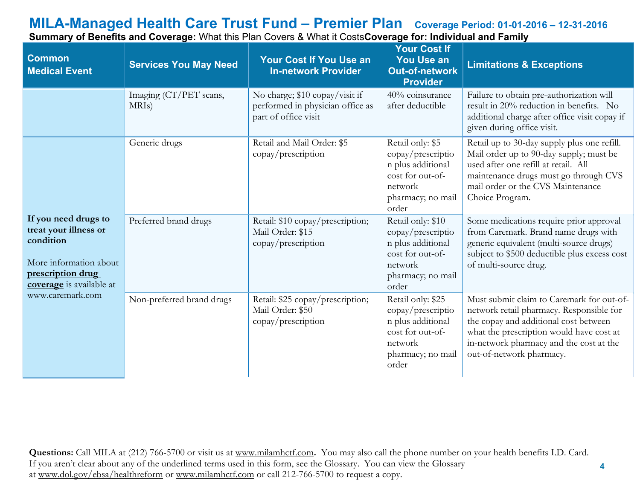| <b>Common</b><br><b>Medical Event</b>                                                                                                 | <b>Services You May Need</b>                 | <b>Your Cost If You Use an</b><br><b>In-network Provider</b>                               | <b>Your Cost If</b><br><b>You Use an</b><br><b>Out-of-network</b><br><b>Provider</b>                                     | <b>Limitations &amp; Exceptions</b>                                                                                                                                                                                                               |
|---------------------------------------------------------------------------------------------------------------------------------------|----------------------------------------------|--------------------------------------------------------------------------------------------|--------------------------------------------------------------------------------------------------------------------------|---------------------------------------------------------------------------------------------------------------------------------------------------------------------------------------------------------------------------------------------------|
|                                                                                                                                       | Imaging (CT/PET scans,<br>MRI <sub>s</sub> ) | No charge; \$10 copay/visit if<br>performed in physician office as<br>part of office visit | 40% coinsurance<br>after deductible                                                                                      | Failure to obtain pre-authorization will<br>result in 20% reduction in benefits. No<br>additional charge after office visit copay if<br>given during office visit.                                                                                |
|                                                                                                                                       | Generic drugs                                | Retail and Mail Order: \$5<br>copay/prescription                                           | Retail only: \$5<br>copay/prescriptio<br>n plus additional<br>cost for out-of-<br>network<br>pharmacy; no mail<br>order  | Retail up to 30-day supply plus one refill.<br>Mail order up to 90-day supply; must be<br>used after one refill at retail. All<br>maintenance drugs must go through CVS<br>mail order or the CVS Maintenance<br>Choice Program.                   |
| If you need drugs to<br>treat your illness or<br>condition<br>More information about<br>prescription drug<br>coverage is available at | Preferred brand drugs                        | Retail: \$10 copay/prescription;<br>Mail Order: \$15<br>copay/prescription                 | Retail only: \$10<br>copay/prescriptio<br>n plus additional<br>cost for out-of-<br>network<br>pharmacy; no mail<br>order | Some medications require prior approval<br>from Caremark. Brand name drugs with<br>generic equivalent (multi-source drugs)<br>subject to \$500 deductible plus excess cost<br>of multi-source drug.                                               |
| www.caremark.com                                                                                                                      | Non-preferred brand drugs                    | Retail: \$25 copay/prescription;<br>Mail Order: \$50<br>copay/prescription                 | Retail only: \$25<br>copay/prescriptio<br>n plus additional<br>cost for out-of-<br>network<br>pharmacy; no mail<br>order | Must submit claim to Caremark for out-of-<br>network retail pharmacy. Responsible for<br>the copay and additional cost between<br>what the prescription would have cost at<br>in-network pharmacy and the cost at the<br>out-of-network pharmacy. |

**Summary of Benefits and Coverage:** What this Plan Covers & What it Costs**Coverage for: Individual and Family**

**Questions:** Call MILA at (212) 766-5700 or visit us at [www.milamhctf.com](http://www.milamhctf.com/)**.** You may also call the phone number on your health benefits I.D. Card. If you aren't clear about any of the underlined terms used in this form, see the Glossary. You can view the Glossary at [www.dol.gov/ebsa/healthreform](http://www.dol.gov/ebsa/healthreform) or [www.milamhctf.com](http://www.milamhctf.com/) or call 212-766-5700 to request a copy.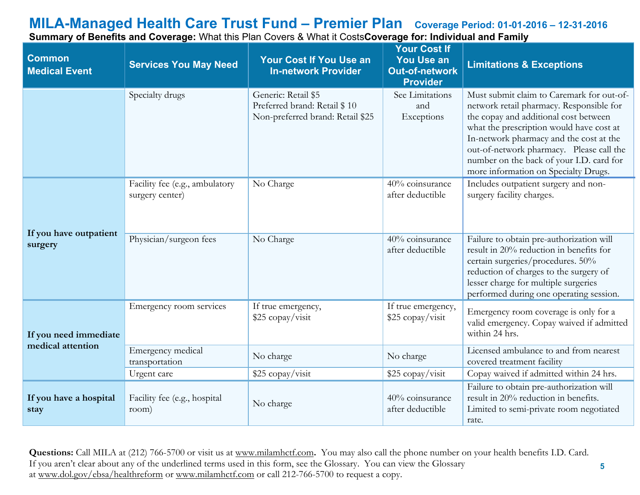**Common Medical Event Services You May Need Your Cost If You Use an In-network Provider Your Cost If You Use an Out-of-network Provider Limitations & Exceptions** Specialty drugs Generic: Retail \$5 Preferred brand: Retail \$ 10 Non-preferred brand: Retail \$25 See Limitations and Exceptions Must submit claim to Caremark for out-ofnetwork retail pharmacy. Responsible for the copay and additional cost between what the prescription would have cost at In-network pharmacy and the cost at the out-of-network pharmacy. Please call the number on the back of your I.D. card for more information on Specialty Drugs. **If you have outpatient surgery** Facility fee (e.g., ambulatory surgery center) No Charge  $40\%$  coinsurance after deductible Includes outpatient surgery and nonsurgery facility charges. Physician/surgeon fees No Charge 40% coinsurance after deductible Failure to obtain pre-authorization will result in 20% reduction in benefits for certain surgeries/procedures. 50% reduction of charges to the surgery of lesser charge for multiple surgeries performed during one operating session. **If you need immediate medical attention** Emergency room services If true emergency, \$25 copay/visit If true emergency,  $\frac{25}{25} \frac{1}{\frac{11}{25} \text{ copay/vist}}$  Emergency room coverage is only for a valid emergency. Copay waived if admitted within 24 hrs. Emergency medical<br>transportation No charge  $\begin{array}{c|c}\n\hline\n\text{No charge} & \text{Licensed amplitude to and from nearest}\n\end{array}$ covered treatment facility Urgent care  $$25 \text{ copay}/\text{visit}$  \$25 copay/visit Copay waived if admitted within 24 hrs. **If you have a hospital stay** Facility fee (e.g., hospital No charge 40% coinsurance after deductible after deductible Failure to obtain pre-authorization will result in 20% reduction in benefits. Limited to semi-private room negotiated rate.

**Summary of Benefits and Coverage:** What this Plan Covers & What it Costs**Coverage for: Individual and Family**

**Questions:** Call MILA at (212) 766-5700 or visit us at [www.milamhctf.com](http://www.milamhctf.com/)**.** You may also call the phone number on your health benefits I.D. Card. If you aren't clear about any of the underlined terms used in this form, see the Glossary. You can view the Glossary at [www.dol.gov/ebsa/healthreform](http://www.dol.gov/ebsa/healthreform) or [www.milamhctf.com](http://www.milamhctf.com/) or call 212-766-5700 to request a copy.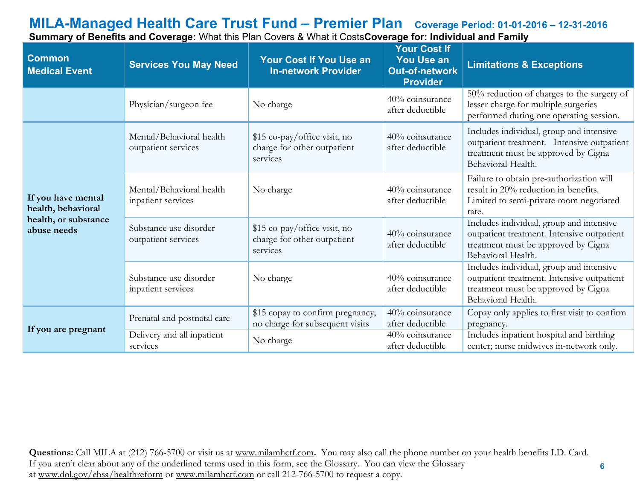| <b>Common</b><br><b>Medical Event</b>                                           | <b>Services You May Need</b>                    | <b>Your Cost If You Use an</b><br><b>In-network Provider</b>            | <b>Your Cost If</b><br><b>You Use an</b><br><b>Out-of-network</b><br><b>Provider</b> | <b>Limitations &amp; Exceptions</b>                                                                                                                 |
|---------------------------------------------------------------------------------|-------------------------------------------------|-------------------------------------------------------------------------|--------------------------------------------------------------------------------------|-----------------------------------------------------------------------------------------------------------------------------------------------------|
|                                                                                 | Physician/surgeon fee                           | No charge                                                               | 40% coinsurance<br>after deductible                                                  | 50% reduction of charges to the surgery of<br>lesser charge for multiple surgeries<br>performed during one operating session.                       |
|                                                                                 | Mental/Behavioral health<br>outpatient services | \$15 co-pay/office visit, no<br>charge for other outpatient<br>services | 40% coinsurance<br>after deductible                                                  | Includes individual, group and intensive<br>outpatient treatment. Intensive outpatient<br>treatment must be approved by Cigna<br>Behavioral Health. |
| If you have mental<br>health, behavioral<br>health, or substance<br>abuse needs | Mental/Behavioral health<br>inpatient services  | No charge                                                               | 40% coinsurance<br>after deductible                                                  | Failure to obtain pre-authorization will<br>result in 20% reduction in benefits.<br>Limited to semi-private room negotiated<br>rate.                |
|                                                                                 | Substance use disorder<br>outpatient services   | \$15 co-pay/office visit, no<br>charge for other outpatient<br>services | 40% coinsurance<br>after deductible                                                  | Includes individual, group and intensive<br>outpatient treatment. Intensive outpatient<br>treatment must be approved by Cigna<br>Behavioral Health. |
|                                                                                 | Substance use disorder<br>inpatient services    | No charge                                                               | 40% coinsurance<br>after deductible                                                  | Includes individual, group and intensive<br>outpatient treatment. Intensive outpatient<br>treatment must be approved by Cigna<br>Behavioral Health. |
| If you are pregnant                                                             | Prenatal and postnatal care                     | \$15 copay to confirm pregnancy;<br>no charge for subsequent visits     | 40% coinsurance<br>after deductible                                                  | Copay only applies to first visit to confirm<br>pregnancy.                                                                                          |
|                                                                                 | Delivery and all inpatient<br>services          | No charge                                                               | 40% coinsurance<br>after deductible                                                  | Includes inpatient hospital and birthing<br>center; nurse midwives in-network only.                                                                 |

**Summary of Benefits and Coverage:** What this Plan Covers & What it Costs**Coverage for: Individual and Family**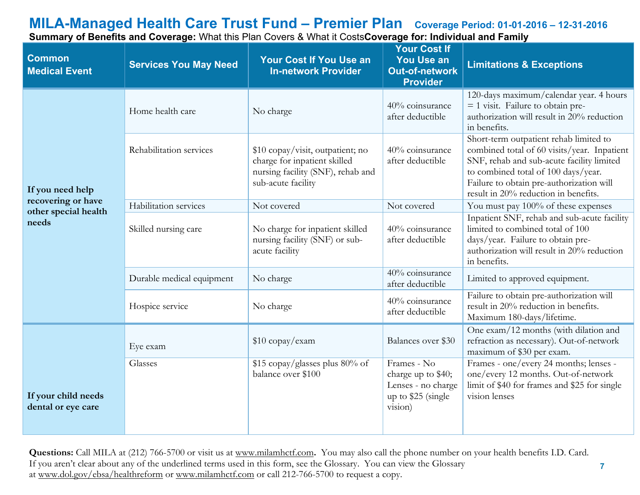| <b>Common</b><br><b>Medical Event</b>     | <b>Services You May Need</b> | <b>Your Cost If You Use an</b><br><b>In-network Provider</b>                                                                | <b>Your Cost If</b><br><b>You Use an</b><br><b>Out-of-network</b><br><b>Provider</b>     | <b>Limitations &amp; Exceptions</b>                                                                                                                                                                                                                           |
|-------------------------------------------|------------------------------|-----------------------------------------------------------------------------------------------------------------------------|------------------------------------------------------------------------------------------|---------------------------------------------------------------------------------------------------------------------------------------------------------------------------------------------------------------------------------------------------------------|
|                                           | Home health care             | No charge                                                                                                                   | 40% coinsurance<br>after deductible                                                      | 120-days maximum/calendar year. 4 hours<br>$=$ 1 visit. Failure to obtain pre-<br>authorization will result in 20% reduction<br>in benefits.                                                                                                                  |
| If you need help                          | Rehabilitation services      | \$10 copay/visit, outpatient; no<br>charge for inpatient skilled<br>nursing facility (SNF), rehab and<br>sub-acute facility | 40% coinsurance<br>after deductible                                                      | Short-term outpatient rehab limited to<br>combined total of 60 visits/year. Inpatient<br>SNF, rehab and sub-acute facility limited<br>to combined total of 100 days/year.<br>Failure to obtain pre-authorization will<br>result in 20% reduction in benefits. |
| recovering or have                        | Habilitation services        | Not covered                                                                                                                 | Not covered                                                                              | You must pay 100% of these expenses                                                                                                                                                                                                                           |
| other special health<br>needs             | Skilled nursing care         | No charge for inpatient skilled<br>nursing facility (SNF) or sub-<br>acute facility                                         | 40% coinsurance<br>after deductible                                                      | Inpatient SNF, rehab and sub-acute facility<br>limited to combined total of 100<br>days/year. Failure to obtain pre-<br>authorization will result in 20% reduction<br>in benefits.                                                                            |
|                                           | Durable medical equipment    | No charge                                                                                                                   | 40% coinsurance<br>after deductible                                                      | Limited to approved equipment.                                                                                                                                                                                                                                |
|                                           | Hospice service              | No charge                                                                                                                   | 40% coinsurance<br>after deductible                                                      | Failure to obtain pre-authorization will<br>result in 20% reduction in benefits.<br>Maximum 180-days/lifetime.                                                                                                                                                |
|                                           | Eye exam                     | \$10 copay/exam                                                                                                             | Balances over \$30                                                                       | One exam/12 months (with dilation and<br>refraction as necessary). Out-of-network<br>maximum of \$30 per exam.                                                                                                                                                |
| If your child needs<br>dental or eye care | Glasses                      | \$15 copay/glasses plus 80% of<br>balance over \$100                                                                        | Frames - No<br>charge up to \$40;<br>Lenses - no charge<br>up to \$25 (single<br>vision) | Frames - one/every 24 months; lenses -<br>one/every 12 months. Out-of-network<br>limit of \$40 for frames and \$25 for single<br>vision lenses                                                                                                                |

**Summary of Benefits and Coverage:** What this Plan Covers & What it Costs**Coverage for: Individual and Family**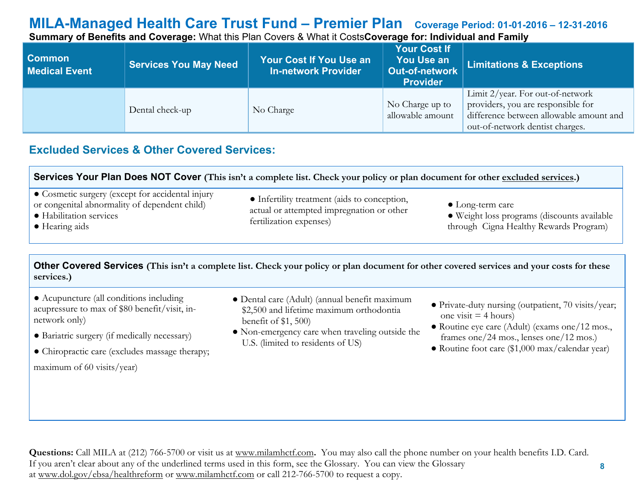**Summary of Benefits and Coverage:** What this Plan Covers & What it Costs**Coverage for: Individual and Family**

| <b>Common</b><br><b>Medical Event</b> | <b>Services You May Need</b> | <b>Your Cost If You Use an</b><br><b>In-network Provider</b> | <b>Your Cost If</b><br>You Use an<br><b>Out-of-network</b><br><b>Provider</b> | <b>Limitations &amp; Exceptions</b>                                                                                                                     |
|---------------------------------------|------------------------------|--------------------------------------------------------------|-------------------------------------------------------------------------------|---------------------------------------------------------------------------------------------------------------------------------------------------------|
|                                       | Dental check-up              | No Charge                                                    | No Charge up to<br>allowable amount                                           | Limit $2$ /year. For out-of-network<br>providers, you are responsible for<br>difference between allowable amount and<br>out-of-network dentist charges. |

## **Excluded Services & Other Covered Services:**

| Services Your Plan Does NOT Cover (This isn't a complete list. Check your policy or plan document for other excluded services.)                          |                                                                                                                      |                                                                                                                   |  |  |
|----------------------------------------------------------------------------------------------------------------------------------------------------------|----------------------------------------------------------------------------------------------------------------------|-------------------------------------------------------------------------------------------------------------------|--|--|
| • Cosmetic surgery (except for accidental injury<br>or congenital abnormality of dependent child)<br>• Habilitation services<br>$\bullet$ Hearing aids   | • Infertility treatment (aids to conception,<br>actual or attempted impregnation or other<br>fertilization expenses) | $\bullet$ Long-term care<br>• Weight loss programs (discounts available<br>through Cigna Healthy Rewards Program) |  |  |
| Other Covered Services (This isn't a complete list. Check your policy or plan document for other covered services and your costs for these<br>services.) |                                                                                                                      |                                                                                                                   |  |  |

● Acupuncture (all conditions including acupressure to max of \$80 benefit/visit, innetwork only)

● Bariatric surgery (if medically necessary)

● Chiropractic care (excludes massage therapy; maximum of 60 visits/year)

- Dental care (Adult) (annual benefit maximum \$2,500 and lifetime maximum orthodontia benefit of \$1, 500)
- Non-emergency care when traveling outside the U.S. (limited to residents of US)
- Private-duty nursing (outpatient, 70 visits/year; one visit  $=$  4 hours)
- Routine eye care (Adult) (exams one/12 mos., frames one/24 mos., lenses one/12 mos.)
- Routine foot care (\$1,000 max/calendar year)

 **8**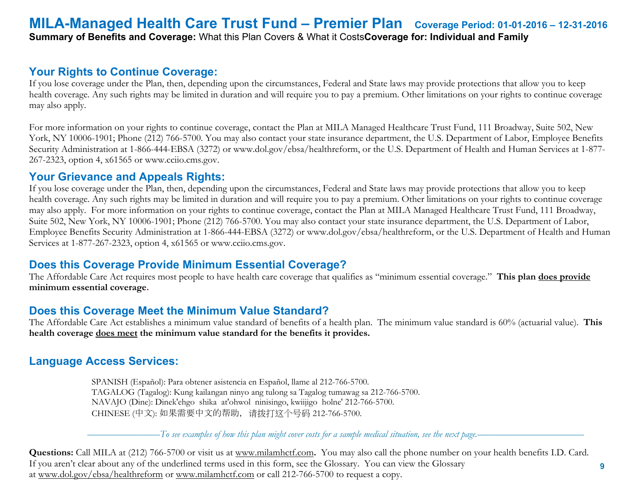## **MILA-Managed Health Care Trust Fund – Premier Plan Coverage Period: 01-01-2016 – 12-31-2016 Summary of Benefits and Coverage:** What this Plan Covers & What it Costs**Coverage for: Individual and Family**

### **Your Rights to Continue Coverage:**

If you lose coverage under the Plan, then, depending upon the circumstances, Federal and State laws may provide protections that allow you to keep health coverage. Any such rights may be limited in duration and will require you to pay a premium. Other limitations on your rights to continue coverage may also apply.

For more information on your rights to continue coverage, contact the Plan at MILA Managed Healthcare Trust Fund, 111 Broadway, Suite 502, New York, NY 10006-1901; Phone (212) 766-5700. You may also contact your state insurance department, the U.S. Department of Labor, Employee Benefits Security Administration at 1-866-444-EBSA (3272) or www.dol.gov/ebsa/healthreform, or the U.S. Department of Health and Human Services at 1-877- 267-2323, option 4, x61565 or www.cciio.cms.gov.

### **Your Grievance and Appeals Rights:**

If you lose coverage under the Plan, then, depending upon the circumstances, Federal and State laws may provide protections that allow you to keep health coverage. Any such rights may be limited in duration and will require you to pay a premium. Other limitations on your rights to continue coverage may also apply. For more information on your rights to continue coverage, contact the Plan at MILA Managed Healthcare Trust Fund, 111 Broadway, Suite 502, New York, NY 10006-1901; Phone (212) 766-5700. You may also contact your state insurance department, the U.S. Department of Labor, Employee Benefits Security Administration at 1-866-444-EBSA (3272) or www.dol.gov/ebsa/healthreform, or the U.S. Department of Health and Human Services at 1-877-267-2323, option 4, x61565 or www.cciio.cms.gov.

## **Does this Coverage Provide Minimum Essential Coverage?**

The Affordable Care Act requires most people to have health care coverage that qualifies as "minimum essential coverage." **This plan does provide minimum essential coverage.** 

## **Does this Coverage Meet the Minimum Value Standard?**

The Affordable Care Act establishes a minimum value standard of benefits of a health plan. The minimum value standard is 60% (actuarial value). **This health coverage does meet the minimum value standard for the benefits it provides.** 

## **Language Access Services:**

 SPANISH (Español): Para obtener asistencia en Español, llame al 212-766-5700. TAGALOG (Tagalog): Kung kailangan ninyo ang tulong sa Tagalog tumawag sa 212-766-5700. NAVAJO (Dine): Dinek'ehgo shika at'ohwol ninisingo, kwiijigo holne' 212-766-5700. CHINESE (中文): 如果需要中文的帮助,请拨打这个号码 212-766-5700.

–––––––––––––––*To see examples of how this plan might cover costs for a sample medical situation, see the next page.–––––––––––*–––––––––––

 **9**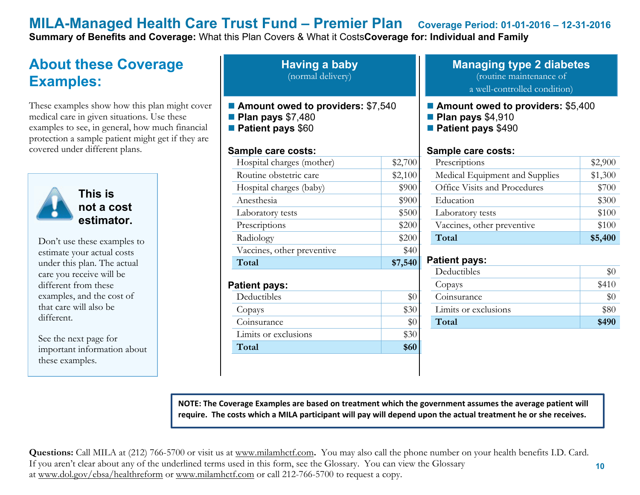**Summary of Benefits and Coverage:** What this Plan Covers & What it Costs**Coverage for: Individual and Family**

## **About these Coverage Examples:**

These examples show how this plan might cover medical care in given situations. Use these examples to see, in general, how much financial protection a sample patient might get if they are covered under different plans.



**This is not a cost estimator.** 

Don't use these examples to estimate your actual costs under this plan. The actual care you receive will be different from these examples, and the cost of that care will also be different.

See the next page for important information about these examples.

**Having a baby** (normal delivery)

- Amount owed to providers: \$7,540
- **Plan pays** \$7,480
- **Patient pays** \$60

#### **Sample care costs:**

| Hospital charges (mother)           | \$2,700 |
|-------------------------------------|---------|
| Routine obstetric care              | \$2,100 |
| Hospital charges (baby)             | \$900   |
| Anesthesia                          | \$900   |
| Laboratory tests                    | \$500   |
| Prescriptions                       | \$200   |
| Radiology                           | \$200   |
| Vaccines, other preventive          | \$40    |
|                                     |         |
| Total                               | \$7,540 |
| <b>Patient pays:</b><br>Deductibles | \$0     |
| Copays                              | \$30    |
| Coinsurance                         | \$0     |
| Limits or exclusions                | \$30    |
| Total                               | \$60    |

#### **Managing type 2 diabetes** (routine maintenance of a well-controlled condition)

#### ■ **Amount owed to providers: \$5,400**

- **Plan pays** \$4,910
- **Patient pays** \$490

#### **Sample care costs:**

| Prescriptions                  | \$2,900 |
|--------------------------------|---------|
| Medical Equipment and Supplies | \$1,300 |
| Office Visits and Procedures   | \$700   |
| Education                      | \$300   |
| Laboratory tests               | \$100   |
| Vaccines, other preventive     | \$100   |
| Total                          | \$5,400 |

### **Patient pays:**

| Deductibles          |       |
|----------------------|-------|
| Copays               | \$410 |
| Coinsurance          |       |
| Limits or exclusions | \$80  |
| Total                | \$490 |

**NOTE: The Coverage Examples are based on treatment which the government assumes the average patient will require. The costs which a MILA participant will pay will depend upon the actual treatment he or she receives.**